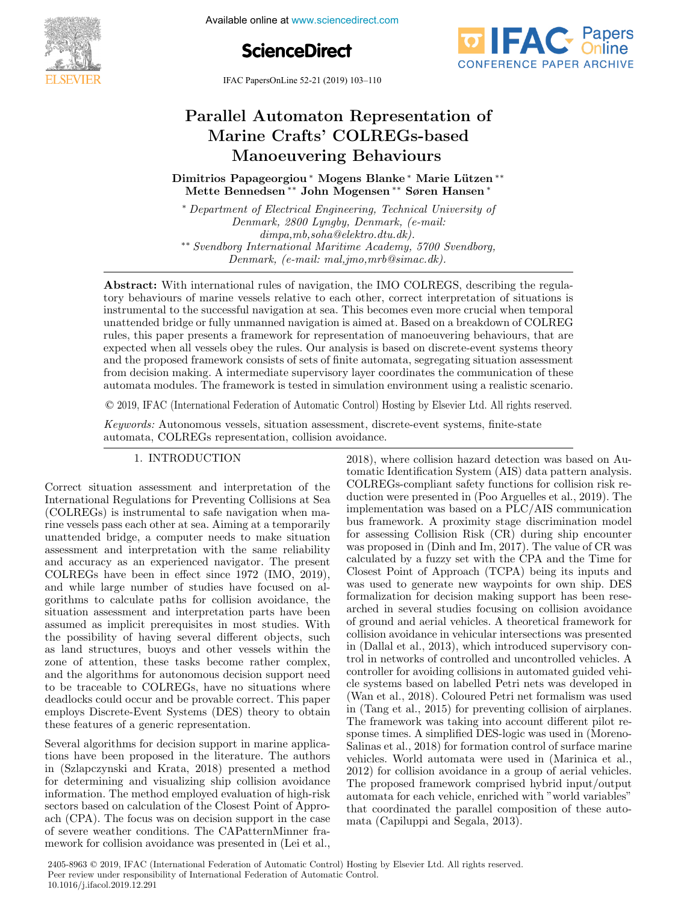

Available online at www.sciencedirect.com





IFAC PapersOnLine 52-21 (2019) 103–110

#### rallel Automaton Representation rine Crafts' COLREGs-ba Dimitrios Papageorgiou ∗ Mogens Blanke ∗ Marie L¨utzen ∗∗ Parallel Automaton Representation of Marine Crafts' COLREGs-based Manoeuvering Behaviours Manoeuvering Behaviours Manoeuvering Behaviours  $D = 20$ Parallel Automaton Representation of rallel Automaton Representation Parallel Automaton Representation of Parallel Automaton Representation of Marine Crafts' COLREGs-based Marine Crafts' COLREGs-based

Dimitrios Papageorgiou ∗ Mogens Blanke ∗ Marie Lützen ∗∗ Mette Bennedsen ∗∗ John Mogensen ∗∗ Søren Hansen ∗ Mette Bennedsen ∗∗ John Mogensen ∗∗ Søren Hansen ∗ Dimitrios Papageorgiou ∗ Mogens Blanke ∗ Marie L¨utzen ∗∗ Dimitrios Papageorgiou ∗ Mogens Blanke ∗ Marie Lützen ∗∗<br>Dimitrios Papageorgiou ∗ Mogens Blanke ∗ Marie Lützen ∗ Mette Bennedsen ∗∗ John Mogensen ∗∗ Søren Hansen ∗

∗ Department of Electrical Engineering, Technical University of ∗ Department of Electrical Engineering, Technical University of  $Denmark, 2800 Lyngby, Denmark, (e-mail:$  $B$ enmark, 2800 Lyngby, Denmark, (e-mail:<br>dimpa,mb,soha@elektro.dtu.dk). \*\* Svendborg International Maritime Academy, 5700 Svendborg, Denmark, (e-mail: mal,jmo,mrb@simac.dk). ∗∗ Svendborg International Maritime Academy, 5700 Svendborg,  $D$ enmark, (e-mail: mal,jmo,mro@simac.ak). ∗ Department of Electrical Engineering, Technical University of ∗ Department of Electrical Engineering, Technical University of Department of Electrical Engineering, Technical University of Technical University of Denmark, (e-mail: mal,jmo,mrb@simac.dk). Denmark, (e-mail: mal,jmo,mrb@simac.dk). ∗∗ Svendborg International Maritime Academy, 5700 Svendborg, ∗∗ Svendborg International Maritime Academy, 5700 Svendborg, Denmark, (e-mail: mal,jmo,mrb@simac.dk).

Abstract: With international rules of navigation, the IMO COLREGS, describing the regula-Abstract: With international rules of navigation, the IMO COLREGS, describing the regula-Abstract. With international rules of havigation, the INO CODITIONS, describing the regula-<br>try behaviours of marine vessels relative to each other, correct interpretation of situations is instrumental to the successful navigation at sea. This becomes even more crucial when temporal unattended bridge or fully unmanned navigation is aimed at. Based on a breakdown of COLREG rules, this paper presents a framework for representation of manoeuvering behaviours, that are expected when all vessels obey the rules. Our analysis is based on discrete-event systems theory expected when an vessels obey the rules. Our analysis is based on discrete-event systems theory from decision making. A intermediate supervisory layer coordinates the communication of these non decision making. A intermediate supervisory layer coordinates the communication of these<br>automata modules. The framework is tested in simulation environment using a realistic scenario. automata modules. The framework is tested in simulation environment using a realistic scenario. den mark, (e-mail: mal,jmo,mrb@simac.dk). (e-mail: mal,jmo,mrb@simac.dk). (e-mail: mal,jmo,mrb@simac.dk). (e-m from decision making. A intermediate supervisory layer coordinates the communication of the communication of the communication of the communication of the communication of the communication of the communication of the com

© 2019, IFAC (International Federation of Automatic Control) Hosting by Elsevier Ltd. All rights reserved. Keywords: Autonomous vessels, situation assessment, discrete-event systems, finite-state

Keywords: Autonomous vessels, situation assessment, discrete-event systems, finite-state *Regionus.* Autonomous vessels, situation assessment, discrete-event systems, initie-state automata, COLREGs representation, collision avoidance. automata, COLREGs representation, collision avoidance.

### 1. INTRODUCTION 1. INTRODUCTION 1. INTRODUCTION 1. INTRODUCTION

Correct situation assessment and interpretation of the Correct situation assessment and interpretation of the Correct situation assessment and interpretation of the International Regulations for Preventing Collisions at Sea (COLREGs) is instrumental to safe navigation when ma-(COLREGS) is instrumental to safe havigation when ma-<br>rine vessels pass each other at sea. Aiming at a temporarily rine vessels pass each other at sea. All ing at a temporarily<br>unattended bridge, a computer needs to make situation anatometer and interpretation with the same reliability and accuracy as an experienced navigator. The present COLREGs have been in effect since 1972 (IMO, 2019), and while large number of studies have focused on algorithms to calculate paths for collision avoidance, the situation assessment and interpretation parts have been assumed as implicit prerequisites in most studies. With the possibility of having several different objects, such as land structures, buoys and other vessels within the zone of attention, these tasks become rather complex, and the algorithms for autonomous decision support need to be traceable to COLREGs, have no situations where deadlocks could occur and be provable correct. This paper deadlocks could occur and be provable correct. This paper<br>employs Discrete-Event Systems (DES) theory to obtain employs Discrete-Event Systems (DES) theory to obtain these features of a generic representation. these features of a generic representation. refluenced bridge, a computer needs to make situation employs Discrete-Event Systems (DES) theory to obtain

Several algorithms for decision support in marine applica-Several algorithms for decision support in marine applica-Several algorithms for decision support in marine applications have been proposed in the literature. The authors in (Szlapczynski and Krata, 2018) presented a method for determining and visualizing ship collision avoidance information. The method employed evaluation of high-risk sectors based on calculation of the Closest Point of Approach (CPA). The focus was on decision support in the case of severe weather conditions. The CAPatternMinner fraof severe weather conditions. The CAP attentions in  $\alpha$  mework for collision avoidance was presented in (Lei et al., mework for collision avoidance was presented in (Lei et al., mework for collision avoidance was presented in (Lei et al.,  $\sum_{n=1}^{\infty}$  several algorithms for decision support in

2018), where collision hazard detection was based on Au-2018), where collision hazard detection was based on Au-2018), where collision hazard detection was based on Automatic Identification System (AIS) data pattern analysis. COLREGs-compliant safety functions for collision risk reduction were presented in (Poo Arguelles et al., 2019). The implementation was based on a PLC/AIS communication but framework. A proximity stage discrimination model for assessing Collision Risk (CR) during ship encounter for assessing Consion Kisk (CR) during sinp encounter<br>was proposed in (Dinh and Im, 2017). The value of CR was calculated by a fuzzy set with the CPA and the Time for Closest Point of Approach (TCPA) being its inputs and was used to generate new waypoints for own ship. DES formalization for decision making support has been reseformalization for decision making support has been rese-<br>arched in several studies focusing on collision avoidance of ground and aerial vehicles. A theoretical framework for of ground and aerial venicies. A theoretical framework for<br>collision avoidance in vehicular intersections was presented in (Dallal et al., 2013), which introduced supervisory control in networks of controlled and uncontrolled vehicles. A controller for avoiding collisions in automated guided vehicontroler to avoiding complete in advokated galace vert<br>cle systems based on labelled Petri nets was developed in (Wan et al., 2018). Coloured Petri net formalism was used in  $(Tang et al., 2015)$  for preventing collision of airplanes. The framework was taking into account different pilot re-The namework was dailing most account director provided by the state of the state of the state of the SI Salinas et al., 2018) for formation control of surface marine vehicles. World automata were used in (Marinica et al., 2012) for collision avoidance in a group of aerial vehicles. 2012) for comsion avoidance in a group of aerial venicies.<br>The proposed framework comprised hybrid input/output automata for each vehicle, enriched with "world variables" that coordinated the parallel composition of these automata (Capiluppi and Segala, 2013). that coordinated the parallel composition of these automata (Capiluppi and Segala, 2013). mata (Capiluppi and Segala, 2013). was proposed in  $(D \text{min} \text{ and } \text{min}, 2017)$ . The value of  $Ch$  was arched in several studies locusing on consider avoidance of ground and aerial vehicles. A theoretical framework for I he proposed framework comprised hyprid input/output

 $(1 \text{ } \text{ } 11 \text{ } 0)$ 

<sup>2405-8963 © 2019,</sup> IFAC (International Federation of Automatic Control) Hosting by Elsevier Ltd. All rights reserved. Peer review under responsibility of International Federation of Automatic Control. 10.1016/j.ifacol.2019.12.291 mework for collision avoidance was presented in (Lei et al.,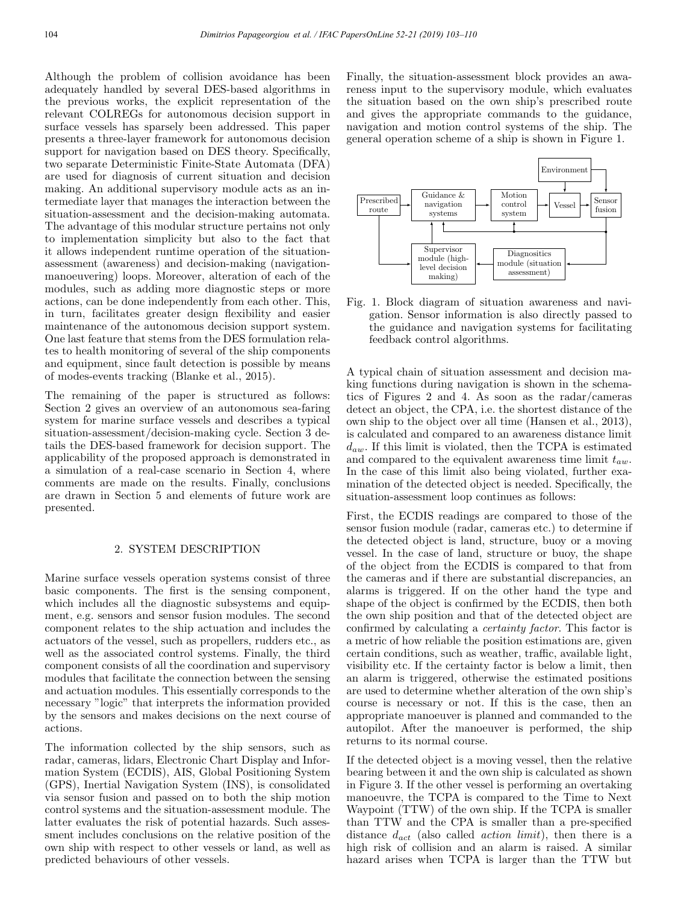Although the problem of collision avoidance has been adequately handled by several DES-based algorithms in the previous works, the explicit representation of the relevant COLREGs for autonomous decision support in surface vessels has sparsely been addressed. This paper presents a three-layer framework for autonomous decision support for navigation based on DES theory. Specifically, two separate Deterministic Finite-State Automata (DFA) are used for diagnosis of current situation and decision making. An additional supervisory module acts as an intermediate layer that manages the interaction between the situation-assessment and the decision-making automata. The advantage of this modular structure pertains not only to implementation simplicity but also to the fact that it allows independent runtime operation of the situationassessment (awareness) and decision-making (navigationmanoeuvering) loops. Moreover, alteration of each of the modules, such as adding more diagnostic steps or more actions, can be done independently from each other. This, in turn, facilitates greater design flexibility and easier maintenance of the autonomous decision support system. One last feature that stems from the DES formulation relates to health monitoring of several of the ship components and equipment, since fault detection is possible by means of modes-events tracking (Blanke et al., 2015).

The remaining of the paper is structured as follows: Section 2 gives an overview of an autonomous sea-faring system for marine surface vessels and describes a typical situation-assessment/decision-making cycle. Section 3 details the DES-based framework for decision support. The applicability of the proposed approach is demonstrated in a simulation of a real-case scenario in Section 4, where comments are made on the results. Finally, conclusions are drawn in Section 5 and elements of future work are presented.

# 2. SYSTEM DESCRIPTION

Marine surface vessels operation systems consist of three basic components. The first is the sensing component, which includes all the diagnostic subsystems and equipment, e.g. sensors and sensor fusion modules. The second component relates to the ship actuation and includes the actuators of the vessel, such as propellers, rudders etc., as well as the associated control systems. Finally, the third component consists of all the coordination and supervisory modules that facilitate the connection between the sensing and actuation modules. This essentially corresponds to the necessary "logic" that interprets the information provided by the sensors and makes decisions on the next course of actions.

The information collected by the ship sensors, such as radar, cameras, lidars, Electronic Chart Display and Information System (ECDIS), AIS, Global Positioning System (GPS), Inertial Navigation System (INS), is consolidated via sensor fusion and passed on to both the ship motion control systems and the situation-assessment module. The latter evaluates the risk of potential hazards. Such assessment includes conclusions on the relative position of the own ship with respect to other vessels or land, as well as predicted behaviours of other vessels.

Finally, the situation-assessment block provides an awareness input to the supervisory module, which evaluates the situation based on the own ship's prescribed route and gives the appropriate commands to the guidance, navigation and motion control systems of the ship. The general operation scheme of a ship is shown in Figure 1.



Fig. 1. Block diagram of situation awareness and navigation. Sensor information is also directly passed to the guidance and navigation systems for facilitating feedback control algorithms.

A typical chain of situation assessment and decision making functions during navigation is shown in the schematics of Figures 2 and 4. As soon as the radar/cameras detect an object, the CPA, i.e. the shortest distance of the own ship to the object over all time (Hansen et al., 2013), is calculated and compared to an awareness distance limit  $d_{aw}$ . If this limit is violated, then the TCPA is estimated and compared to the equivalent awareness time limit  $t_{aw}$ . In the case of this limit also being violated, further examination of the detected object is needed. Specifically, the situation-assessment loop continues as follows:

First, the ECDIS readings are compared to those of the sensor fusion module (radar, cameras etc.) to determine if the detected object is land, structure, buoy or a moving vessel. In the case of land, structure or buoy, the shape of the object from the ECDIS is compared to that from the cameras and if there are substantial discrepancies, an alarms is triggered. If on the other hand the type and shape of the object is confirmed by the ECDIS, then both the own ship position and that of the detected object are confirmed by calculating a certainty factor. This factor is a metric of how reliable the position estimations are, given certain conditions, such as weather, traffic, available light, visibility etc. If the certainty factor is below a limit, then an alarm is triggered, otherwise the estimated positions are used to determine whether alteration of the own ship's course is necessary or not. If this is the case, then an appropriate manoeuver is planned and commanded to the autopilot. After the manoeuver is performed, the ship returns to its normal course.

If the detected object is a moving vessel, then the relative bearing between it and the own ship is calculated as shown in Figure 3. If the other vessel is performing an overtaking manoeuvre, the TCPA is compared to the Time to Next Waypoint (TTW) of the own ship. If the TCPA is smaller than TTW and the CPA is smaller than a pre-specified distance  $d_{act}$  (also called *action limit*), then there is a high risk of collision and an alarm is raised. A similar hazard arises when TCPA is larger than the TTW but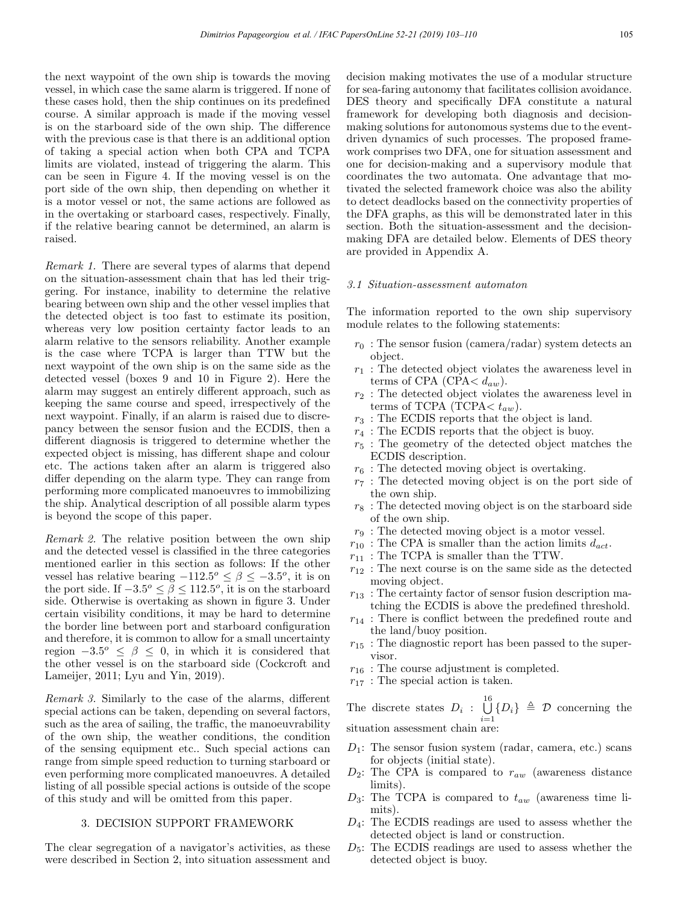the next waypoint of the own ship is towards the moving vessel, in which case the same alarm is triggered. If none of these cases hold, then the ship continues on its predefined course. A similar approach is made if the moving vessel is on the starboard side of the own ship. The difference with the previous case is that there is an additional option of taking a special action when both CPA and TCPA limits are violated, instead of triggering the alarm. This can be seen in Figure 4. If the moving vessel is on the port side of the own ship, then depending on whether it is a motor vessel or not, the same actions are followed as in the overtaking or starboard cases, respectively. Finally, if the relative bearing cannot be determined, an alarm is raised.

Remark 1. There are several types of alarms that depend on the situation-assessment chain that has led their triggering. For instance, inability to determine the relative bearing between own ship and the other vessel implies that the detected object is too fast to estimate its position, whereas very low position certainty factor leads to an alarm relative to the sensors reliability. Another example is the case where TCPA is larger than TTW but the next waypoint of the own ship is on the same side as the detected vessel (boxes 9 and 10 in Figure 2). Here the alarm may suggest an entirely different approach, such as keeping the same course and speed, irrespectively of the next waypoint. Finally, if an alarm is raised due to discrepancy between the sensor fusion and the ECDIS, then a different diagnosis is triggered to determine whether the expected object is missing, has different shape and colour etc. The actions taken after an alarm is triggered also differ depending on the alarm type. They can range from performing more complicated manoeuvres to immobilizing the ship. Analytical description of all possible alarm types is beyond the scope of this paper.

Remark 2. The relative position between the own ship and the detected vessel is classified in the three categories mentioned earlier in this section as follows: If the other vessel has relative bearing  $-112.5^{\circ} \le \beta \le -3.5^{\circ}$ , it is on the port side. If  $-3.5^{\circ} \leq \tilde{\beta} \leq 112.5^{\circ}$ , it is on the starboard side. Otherwise is overtaking as shown in figure 3. Under certain visibility conditions, it may be hard to determine the border line between port and starboard configuration and therefore, it is common to allow for a small uncertainty region  $-3.5^{\circ} \leq \beta \leq 0$ , in which it is considered that the other vessel is on the starboard side (Cockcroft and Lameijer, 2011; Lyu and Yin, 2019).

Remark 3. Similarly to the case of the alarms, different special actions can be taken, depending on several factors, such as the area of sailing, the traffic, the manoeuvrability of the own ship, the weather conditions, the condition of the sensing equipment etc.. Such special actions can range from simple speed reduction to turning starboard or even performing more complicated manoeuvres. A detailed listing of all possible special actions is outside of the scope of this study and will be omitted from this paper.

# 3. DECISION SUPPORT FRAMEWORK

The clear segregation of a navigator's activities, as these were described in Section 2, into situation assessment and decision making motivates the use of a modular structure for sea-faring autonomy that facilitates collision avoidance. DES theory and specifically DFA constitute a natural framework for developing both diagnosis and decisionmaking solutions for autonomous systems due to the eventdriven dynamics of such processes. The proposed framework comprises two DFA, one for situation assessment and one for decision-making and a supervisory module that coordinates the two automata. One advantage that motivated the selected framework choice was also the ability to detect deadlocks based on the connectivity properties of the DFA graphs, as this will be demonstrated later in this section. Both the situation-assessment and the decisionmaking DFA are detailed below. Elements of DES theory are provided in Appendix A.

#### 3.1 Situation-assessment automaton

The information reported to the own ship supervisory module relates to the following statements:

- $r_0$ : The sensor fusion (camera/radar) system detects an object.
- $r_1$ : The detected object violates the awareness level in terms of CPA (CPA $\langle d_{aw} \rangle$ ).
- $r_2$ : The detected object violates the awareness level in terms of TCPA (TCPA $< t_{aw}$ ).
- $r_3$ : The ECDIS reports that the object is land.
- $r_4$ : The ECDIS reports that the object is buoy.
- $r<sub>5</sub>$ : The geometry of the detected object matches the ECDIS description.
- $r_6$ : The detected moving object is overtaking.
- $r<sub>7</sub>$ : The detected moving object is on the port side of the own ship.
- $r_8$ : The detected moving object is on the starboard side of the own ship.
- $r_9$ : The detected moving object is a motor vessel.
- $r_{10}$ : The CPA is smaller than the action limits  $d_{act}$ .
- $r_{11}$ : The TCPA is smaller than the TTW.
- $r_{12}$ : The next course is on the same side as the detected moving object.
- $r_{13}$ : The certainty factor of sensor fusion description matching the ECDIS is above the predefined threshold.
- $r_{14}$ : There is conflict between the predefined route and the land/buoy position.
- $r_{15}$ : The diagnostic report has been passed to the supervisor.
- $r_{16}$ : The course adjustment is completed.
- $r_{17}$ : The special action is taken.

The discrete states  $D_i$ :  $\bigcup_{i=1}^{16}$  $\bigcup_{i=1}$  { $D_i$ }  $\triangleq$   $D$  concerning the situation assessment chain are:

- $D_1$ : The sensor fusion system (radar, camera, etc.) scans for objects (initial state).
- $D_2$ : The CPA is compared to  $r_{aw}$  (awareness distance limits).
- $D_3$ : The TCPA is compared to  $t_{aw}$  (awareness time limits).
- $D_4$ : The ECDIS readings are used to assess whether the detected object is land or construction.
- $D_5$ : The ECDIS readings are used to assess whether the detected object is buoy.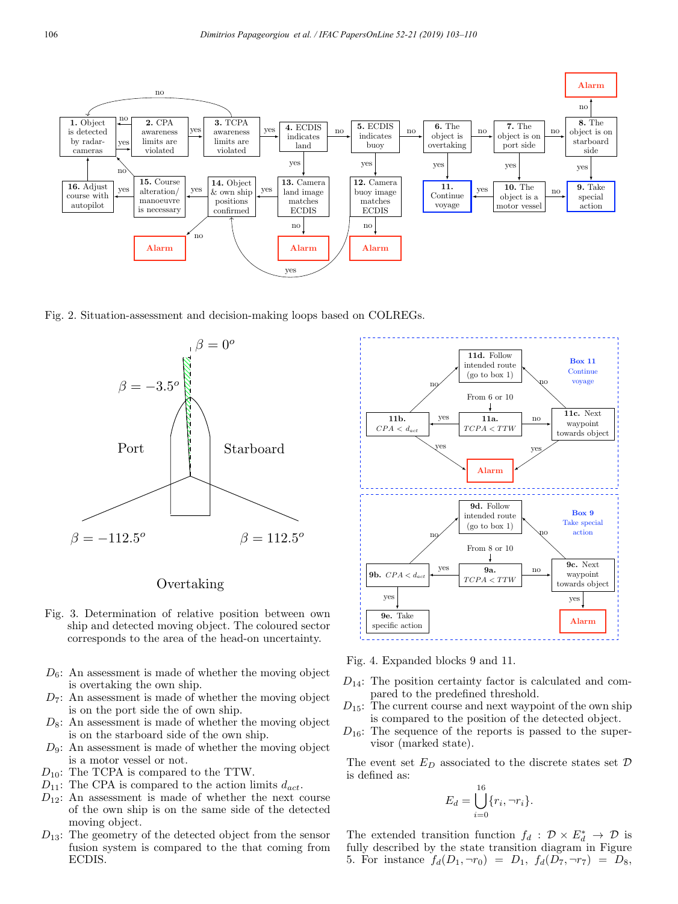

Fig. 2. Situation-assessment and decision-making loops based on COLREGs.



# Overtaking

- Fig. 3. Determination of relative position between own ship and detected moving object. The coloured sector corresponds to the area of the head-on uncertainty.
- $D_6$ : An assessment is made of whether the moving object is overtaking the own ship.
- $D_7$ : An assessment is made of whether the moving object is on the port side the of own ship.
- $D_8$ : An assessment is made of whether the moving object is on the starboard side of the own ship.
- $D_9$ : An assessment is made of whether the moving object is a motor vessel or not.
- $D_{10}$ : The TCPA is compared to the TTW.
- $D_{11}$ : The CPA is compared to the action limits  $d_{act}$ .
- $D_{12}$ : An assessment is made of whether the next course of the own ship is on the same side of the detected moving object.
- $D_{13}$ : The geometry of the detected object from the sensor fusion system is compared to the that coming from ECDIS.



Fig. 4. Expanded blocks 9 and 11.

- $D_{14}$ : The position certainty factor is calculated and compared to the predefined threshold.
- $D_{15}$ : The current course and next waypoint of the own ship is compared to the position of the detected object.
- $D_{16}$ : The sequence of the reports is passed to the supervisor (marked state).

The event set  $E_D$  associated to the discrete states set  $D$ is defined as:

$$
E_d = \bigcup_{i=0}^{16} \{r_i, \neg r_i\}.
$$

The extended transition function  $f_d : \mathcal{D} \times E_d^* \to \mathcal{D}$  is fully described by the state transition diagram in Figure 5. For instance  $f_d(D_1, \neg r_0) = D_1$ ,  $f_d(D_7, \neg r_7) = D_8$ ,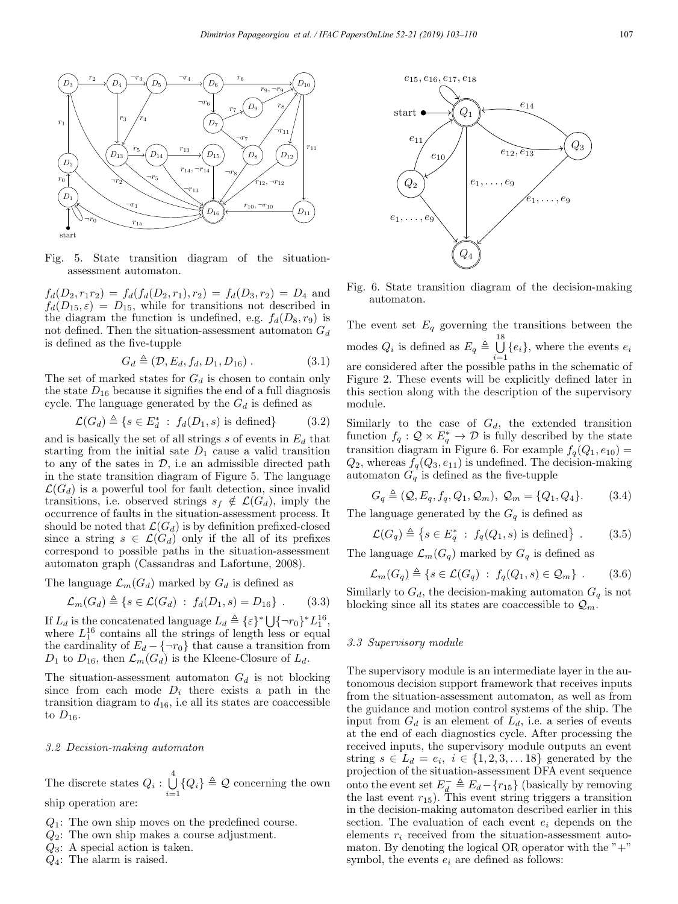

Fig. 5. State transition diagram of the situationassessment automaton.

 $f_d(D_2, r_1r_2) = f_d(f_d(D_2, r_1), r_2) = f_d(D_3, r_2) = D_4$  and  $f_d(D_{15}, \varepsilon) = D_{15}$ , while for transitions not described in the diagram the function is undefined, e.g.  $f_d(D_8, r_9)$  is not defined. Then the situation-assessment automaton  $G_d$ is defined as the five-tupple

$$
G_d \triangleq (\mathcal{D}, E_d, f_d, D_1, D_{16}) . \tag{3.1}
$$

The set of marked states for  $G_d$  is chosen to contain only the state  $D_{16}$  because it signifies the end of a full diagnosis cycle. The language generated by the  $G_d$  is defined as

$$
\mathcal{L}(G_d) \triangleq \{ s \in E_d^* \; : \; f_d(D_1, s) \text{ is defined} \} \tag{3.2}
$$

and is basically the set of all strings s of events in  $E<sub>d</sub>$  that starting from the initial sate  $D_1$  cause a valid transition to any of the sates in  $\mathcal{D}$ , i.e an admissible directed path in the state transition diagram of Figure 5. The language  $\mathcal{L}(G_d)$  is a powerful tool for fault detection, since invalid transitions, i.e. observed strings  $s_f \notin \mathcal{L}(G_d)$ , imply the occurrence of faults in the situation-assessment process. It should be noted that  $\mathcal{L}(G_d)$  is by definition prefixed-closed since a string  $s \in \mathcal{L}(G_d)$  only if the all of its prefixes correspond to possible paths in the situation-assessment automaton graph (Cassandras and Lafortune, 2008).

The language  $\mathcal{L}_m(G_d)$  marked by  $G_d$  is defined as

$$
\mathcal{L}_m(G_d) \triangleq \{ s \in \mathcal{L}(G_d) : f_d(D_1, s) = D_{16} \} . \tag{3.3}
$$

If  $L_d$  is the concatenated language  $L_d \triangleq {\epsilon}^* \bigcup {\{\neg r_0\}}^* L_1^{16}$ , where  $L_1^{16}$  contains all the strings of length less or equal the cardinality of  $E_d - \{\neg r_0\}$  that cause a transition from  $D_1$  to  $D_{16}$ , then  $\mathcal{L}_m(G_d)$  is the Kleene-Closure of  $L_d$ .

The situation-assessment automaton  $G_d$  is not blocking since from each mode  $D_i$  there exists a path in the transition diagram to  $d_{16}$ , i.e all its states are coaccessible to  $D_{16}$ .

#### 3.2 Decision-making automaton

The discrete states  $Q_i: \bigcup_{i=1}^{4}$  $\bigcup_{i=1} \{Q_i\} \triangleq \mathcal{Q}$  concerning the own ship operation are:

- $Q_1$ : The own ship moves on the predefined course.
- Q2: The own ship makes a course adjustment.
- $Q_3$ : A special action is taken.

Q4: The alarm is raised.



Fig. 6. State transition diagram of the decision-making automaton.

The event set  $E_q$  governing the transitions between the modes  $Q_i$  is defined as  $E_q \triangleq \bigcup^{18}$  $\bigcup_{i=1} \{e_i\}$ , where the events  $e_i$ are considered after the possible paths in the schematic of Figure 2. These events will be explicitly defined later in this section along with the description of the supervisory module.

Similarly to the case of  $G_d$ , the extended transition function  $f_q: \mathcal{Q} \times E_q^* \to \mathcal{D}$  is fully described by the state transition diagram in Figure 6. For example  $f_q(Q_1, e_{10}) =$  $Q_2$ , whereas  $f_q(Q_3, e_{11})$  is undefined. The decision-making automaton  $G_q$  is defined as the five-tupple

$$
G_q \triangleq (Q, E_q, f_q, Q_1, Q_m), \ Q_m = \{Q_1, Q_4\}. \tag{3.4}
$$

The language generated by the  $G_q$  is defined as

$$
\mathcal{L}(G_q) \triangleq \{ s \in E_q^* \; : \; f_q(Q_1, s) \text{ is defined} \} \; . \tag{3.5}
$$

The language  $\mathcal{L}_m(G_q)$  marked by  $G_q$  is defined as

$$
\mathcal{L}_m(G_q) \triangleq \{ s \in \mathcal{L}(G_q) : f_q(Q_1, s) \in \mathcal{Q}_m \} . \tag{3.6}
$$

Similarly to  $G_d$ , the decision-making automaton  $G_q$  is not blocking since all its states are coaccessible to  $\mathcal{Q}_m$ .

#### 3.3 Supervisory module

The supervisory module is an intermediate layer in the autonomous decision support framework that receives inputs from the situation-assessment automaton, as well as from the guidance and motion control systems of the ship. The input from  $G_d$  is an element of  $L_d$ , i.e. a series of events at the end of each diagnostics cycle. After processing the received inputs, the supervisory module outputs an event string  $s \in L_d = e_i$ ,  $i \in \{1, 2, 3, \ldots 18\}$  generated by the projection of the situation-assessment DFA event sequence onto the event set  $E_d^- \triangleq E_d - \{r_{15}\}\$  (basically by removing the last event  $r_{15}$ ). This event string triggers a transition in the decision-making automaton described earlier in this section. The evaluation of each event  $e_i$  depends on the elements  $r_i$  received from the situation-assessment automaton. By denoting the logical OR operator with the  $" +"$ symbol, the events  $e_i$  are defined as follows: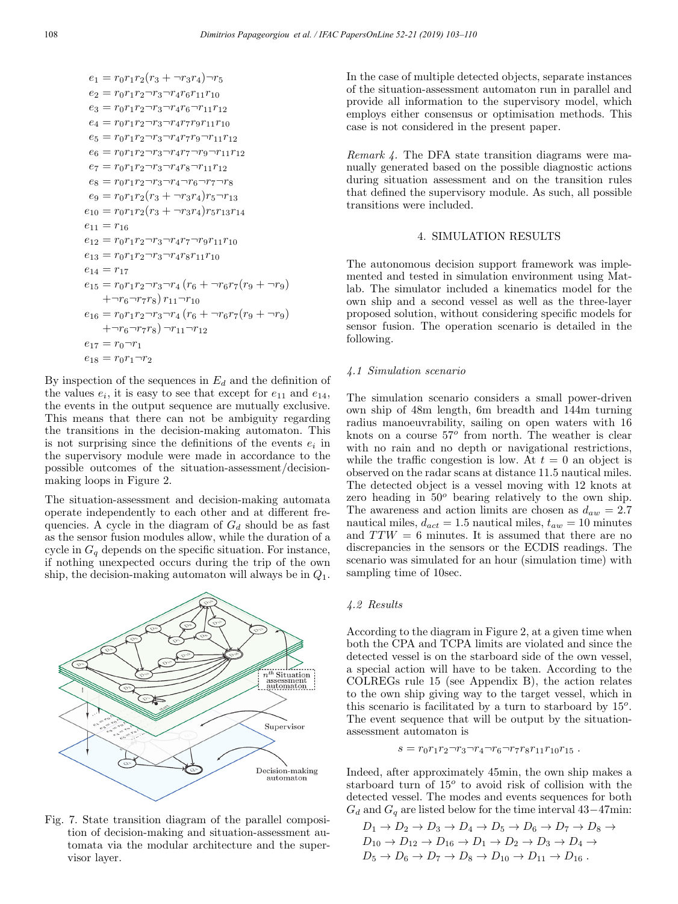$$
e_1 = r_0r_1r_2(r_3 + \neg r_3r_4) \neg r_5
$$
  
\n
$$
e_2 = r_0r_1r_2 \neg r_3 \neg r_4r_6r_{11}r_{10}
$$
  
\n
$$
e_3 = r_0r_1r_2 \neg r_3 \neg r_4r_6 \neg r_{11}r_{12}
$$
  
\n
$$
e_4 = r_0r_1r_2 \neg r_3 \neg r_4r_7r_9r_{11}r_{10}
$$
  
\n
$$
e_5 = r_0r_1r_2 \neg r_3 \neg r_4r_7r_9 \neg r_{11}r_{12}
$$
  
\n
$$
e_6 = r_0r_1r_2 \neg r_3 \neg r_4r_7 \neg r_9 \neg r_{11}r_{12}
$$
  
\n
$$
e_7 = r_0r_1r_2 \neg r_3 \neg r_4r_8 \neg r_{11}r_{12}
$$
  
\n
$$
e_8 = r_0r_1r_2 \neg r_3 \neg r_4 \neg r_6 \neg r_7 \neg r_8
$$
  
\n
$$
e_9 = r_0r_1r_2(r_3 + \neg r_3r_4)r_5 \neg r_{13}
$$
  
\n
$$
e_{10} = r_0r_1r_2(r_3 + \neg r_3r_4)r_5r_{13}r_{14}
$$
  
\n
$$
e_{11} = r_1e
$$
  
\n
$$
e_{12} = r_0r_1r_2 \neg r_3 \neg r_4r_7 \neg r_9r_{11}r_{10}
$$
  
\n
$$
e_{13} = r_0r_1r_2 \neg r_3 \neg r_4r_8r_{11}r_{10}
$$
  
\n
$$
e_{14} = r_{17}
$$
  
\n
$$
e_{15} = r_0r_1r_2 \neg r_3 \neg r_4 (r_6 + \neg r_6r_7(r_9 + \neg r_9)
$$
  
\n
$$
+ \neg r_6 \neg r_7r_8) r_{11} \neg r_{10}
$$
  
\n
$$
e_{16} = r_0r_1r_2 \neg r_3 \neg r_
$$

By inspection of the sequences in  $E_d$  and the definition of the values  $e_i$ , it is easy to see that except for  $e_{11}$  and  $e_{14}$ , the events in the output sequence are mutually exclusive. This means that there can not be ambiguity regarding the transitions in the decision-making automaton. This is not surprising since the definitions of the events  $e_i$  in the supervisory module were made in accordance to the possible outcomes of the situation-assessment/decisionmaking loops in Figure 2.

The situation-assessment and decision-making automata operate independently to each other and at different frequencies. A cycle in the diagram of  $G_d$  should be as fast as the sensor fusion modules allow, while the duration of a cycle in  $G_q$  depends on the specific situation. For instance, if nothing unexpected occurs during the trip of the own ship, the decision-making automaton will always be in  $Q_1$ .



Fig. 7. State transition diagram of the parallel composition of decision-making and situation-assessment automata via the modular architecture and the supervisor layer.

In the case of multiple detected objects, separate instances of the situation-assessment automaton run in parallel and provide all information to the supervisory model, which employs either consensus or optimisation methods. This case is not considered in the present paper.

Remark 4. The DFA state transition diagrams were manually generated based on the possible diagnostic actions during situation assessment and on the transition rules that defined the supervisory module. As such, all possible transitions were included.

## 4. SIMULATION RESULTS

The autonomous decision support framework was implemented and tested in simulation environment using Matlab. The simulator included a kinematics model for the own ship and a second vessel as well as the three-layer proposed solution, without considering specific models for sensor fusion. The operation scenario is detailed in the following.

## 4.1 Simulation scenario

The simulation scenario considers a small power-driven own ship of 48m length, 6m breadth and 144m turning radius manoeuvrability, sailing on open waters with 16 knots on a course  $57^\circ$  from north. The weather is clear with no rain and no depth or navigational restrictions, while the traffic congestion is low. At  $t = 0$  an object is observed on the radar scans at distance 11.5 nautical miles. The detected object is a vessel moving with 12 knots at zero heading in  $50^{\circ}$  bearing relatively to the own ship. The awareness and action limits are chosen as  $d_{aw} = 2.7$ nautical miles,  $d_{act} = 1.5$  nautical miles,  $t_{aw} = 10$  minutes and  $TTW = 6$  minutes. It is assumed that there are no discrepancies in the sensors or the ECDIS readings. The scenario was simulated for an hour (simulation time) with sampling time of 10sec.

## 4.2 Results

According to the diagram in Figure 2, at a given time when both the CPA and TCPA limits are violated and since the detected vessel is on the starboard side of the own vessel, a special action will have to be taken. According to the COLREGs rule 15 (see Appendix B), the action relates to the own ship giving way to the target vessel, which in this scenario is facilitated by a turn to starboard by  $15^{\circ}$ . The event sequence that will be output by the situationassessment automaton is

$$
s = r_0 r_1 r_2 \neg r_3 \neg r_4 \neg r_6 \neg r_7 r_8 r_{11} r_{10} r_{15} .
$$

Indeed, after approximately 45min, the own ship makes a starboard turn of  $15^{\circ}$  to avoid risk of collision with the detected vessel. The modes and events sequences for both  $G_d$  and  $G_q$  are listed below for the time interval 43–47min:

$$
D_1 \rightarrow D_2 \rightarrow D_3 \rightarrow D_4 \rightarrow D_5 \rightarrow D_6 \rightarrow D_7 \rightarrow D_8 \rightarrow
$$
  
\n
$$
D_{10} \rightarrow D_{12} \rightarrow D_{16} \rightarrow D_1 \rightarrow D_2 \rightarrow D_3 \rightarrow D_4 \rightarrow
$$
  
\n
$$
D_5 \rightarrow D_6 \rightarrow D_7 \rightarrow D_8 \rightarrow D_{10} \rightarrow D_{11} \rightarrow D_{16}.
$$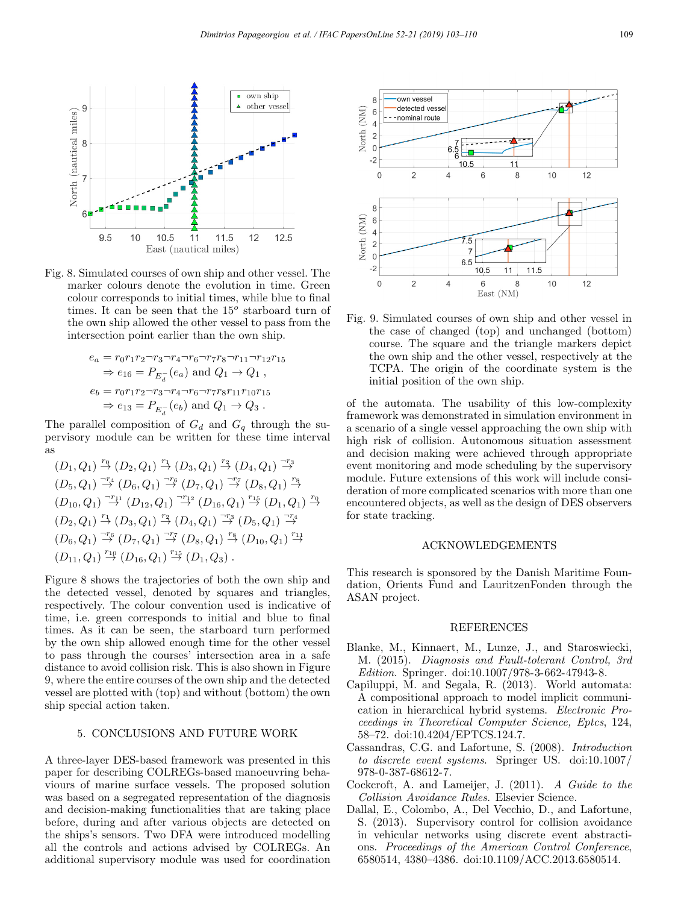

Fig. 8. Simulated courses of own ship and other vessel. The marker colours denote the evolution in time. Green colour corresponds to initial times, while blue to final times. It can be seen that the  $15^{\circ}$  starboard turn of the own ship allowed the other vessel to pass from the intersection point earlier than the own ship.

$$
e_a = r_0 r_1 r_2 \neg r_3 \neg r_4 \neg r_6 \neg r_7 r_8 \neg r_{11} \neg r_{12} r_{15}
$$
  
\n
$$
\Rightarrow e_{16} = P_{E_d^-}(e_a) \text{ and } Q_1 \to Q_1 ,
$$
  
\n
$$
e_b = r_0 r_1 r_2 \neg r_3 \neg r_4 \neg r_6 \neg r_7 r_8 r_{11} r_{10} r_{15}
$$
  
\n
$$
\Rightarrow e_{13} = P_{E_d^-}(e_b) \text{ and } Q_1 \to Q_3 .
$$

The parallel composition of  $G_d$  and  $G_q$  through the supervisory module can be written for these time interval as

$$
(D_1, Q_1) \stackrel{r_0}{\rightarrow} (D_2, Q_1) \stackrel{r_1}{\rightarrow} (D_3, Q_1) \stackrel{r_2}{\rightarrow} (D_4, Q_1) \stackrel{r_3}{\rightarrow}
$$
  
\n
$$
(D_5, Q_1) \stackrel{r_0}{\rightarrow} (D_6, Q_1) \stackrel{r_0}{\rightarrow} (D_7, Q_1) \stackrel{r_1}{\rightarrow} (D_8, Q_1) \stackrel{r_8}{\rightarrow}
$$
  
\n
$$
(D_{10}, Q_1) \stackrel{r_1}{\rightarrow} (D_{12}, Q_1) \stackrel{r_1}{\rightarrow} (D_{16}, Q_1) \stackrel{r_1_5}{\rightarrow} (D_1, Q_1) \stackrel{r_0}{\rightarrow}
$$
  
\n
$$
(D_2, Q_1) \stackrel{r_1}{\rightarrow} (D_3, Q_1) \stackrel{r_2}{\rightarrow} (D_4, Q_1) \stackrel{r_2}{\rightarrow} (D_5, Q_1) \stackrel{r_1_4}{\rightarrow}
$$
  
\n
$$
(D_6, Q_1) \stackrel{r_0}{\rightarrow} (D_7, Q_1) \stackrel{r_0}{\rightarrow} (D_8, Q_1) \stackrel{r_8}{\rightarrow} (D_{10}, Q_1) \stackrel{r_{11}}{\rightarrow}
$$
  
\n
$$
(D_{11}, Q_1) \stackrel{r_{10}}{\rightarrow} (D_{16}, Q_1) \stackrel{r_{15}}{\rightarrow} (D_1, Q_3).
$$

Figure 8 shows the trajectories of both the own ship and the detected vessel, denoted by squares and triangles, respectively. The colour convention used is indicative of time, i.e. green corresponds to initial and blue to final times. As it can be seen, the starboard turn performed by the own ship allowed enough time for the other vessel to pass through the courses' intersection area in a safe distance to avoid collision risk. This is also shown in Figure 9, where the entire courses of the own ship and the detected vessel are plotted with (top) and without (bottom) the own ship special action taken.

#### 5. CONCLUSIONS AND FUTURE WORK

A three-layer DES-based framework was presented in this paper for describing COLREGs-based manoeuvring behaviours of marine surface vessels. The proposed solution was based on a segregated representation of the diagnosis and decision-making functionalities that are taking place before, during and after various objects are detected on the ships's sensors. Two DFA were introduced modelling all the controls and actions advised by COLREGs. An additional supervisory module was used for coordination



Fig. 9. Simulated courses of own ship and other vessel in the case of changed (top) and unchanged (bottom) course. The square and the triangle markers depict the own ship and the other vessel, respectively at the TCPA. The origin of the coordinate system is the initial position of the own ship.

of the automata. The usability of this low-complexity framework was demonstrated in simulation environment in a scenario of a single vessel approaching the own ship with high risk of collision. Autonomous situation assessment and decision making were achieved through appropriate event monitoring and mode scheduling by the supervisory module. Future extensions of this work will include consideration of more complicated scenarios with more than one encountered objects, as well as the design of DES observers for state tracking.

## ACKNOWLEDGEMENTS

This research is sponsored by the Danish Maritime Foundation, Orients Fund and LauritzenFonden through the ASAN project.

#### REFERENCES

- Blanke, M., Kinnaert, M., Lunze, J., and Staroswiecki, M. (2015). Diagnosis and Fault-tolerant Control, 3rd Edition. Springer. doi:10.1007/978-3-662-47943-8.
- Capiluppi, M. and Segala, R. (2013). World automata: A compositional approach to model implicit communication in hierarchical hybrid systems. Electronic Proceedings in Theoretical Computer Science, Eptcs, 124, 58–72. doi:10.4204/EPTCS.124.7.
- Cassandras, C.G. and Lafortune, S. (2008). Introduction to discrete event systems. Springer US. doi:10.1007/ 978-0-387-68612-7.
- Cockcroft, A. and Lameijer, J. (2011). A Guide to the Collision Avoidance Rules. Elsevier Science.
- Dallal, E., Colombo, A., Del Vecchio, D., and Lafortune, S. (2013). Supervisory control for collision avoidance in vehicular networks using discrete event abstractions. Proceedings of the American Control Conference, 6580514, 4380–4386. doi:10.1109/ACC.2013.6580514.